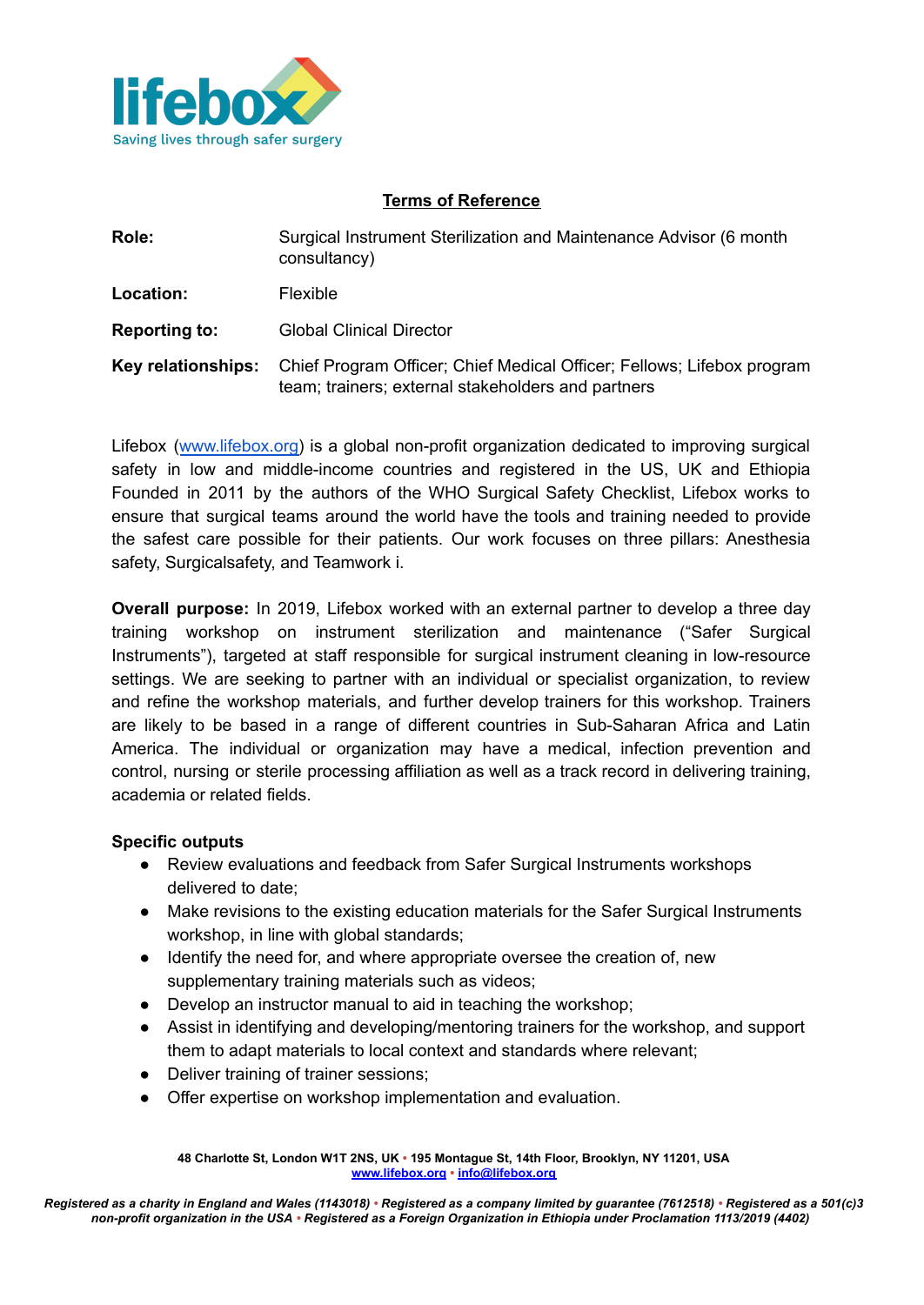

## **Terms of Reference**

| Role:                | Surgical Instrument Sterilization and Maintenance Advisor (6 month<br>consultancy)                                           |
|----------------------|------------------------------------------------------------------------------------------------------------------------------|
| Location:            | Flexible                                                                                                                     |
| <b>Reporting to:</b> | <b>Global Clinical Director</b>                                                                                              |
| Key relationships:   | Chief Program Officer; Chief Medical Officer; Fellows; Lifebox program<br>team; trainers; external stakeholders and partners |

Lifebox ([www.lifebox.org\)](http://www.lifebox.org) is a global non-profit organization dedicated to improving surgical safety in low and middle-income countries and registered in the US, UK and Ethiopia Founded in 2011 by the authors of the WHO Surgical Safety Checklist, Lifebox works to ensure that surgical teams around the world have the tools and training needed to provide the safest care possible for their patients. Our work focuses on three pillars: Anesthesia safety, Surgicalsafety, and Teamwork i.

**Overall purpose:** In 2019, Lifebox worked with an external partner to develop a three day training workshop on instrument sterilization and maintenance ("Safer Surgical Instruments"), targeted at staff responsible for surgical instrument cleaning in low-resource settings. We are seeking to partner with an individual or specialist organization, to review and refine the workshop materials, and further develop trainers for this workshop. Trainers are likely to be based in a range of different countries in Sub-Saharan Africa and Latin America. The individual or organization may have a medical, infection prevention and control, nursing or sterile processing affiliation as well as a track record in delivering training, academia or related fields.

#### **Specific outputs**

- Review evaluations and feedback from Safer Surgical Instruments workshops delivered to date;
- Make revisions to the existing education materials for the Safer Surgical Instruments workshop, in line with global standards;
- Identify the need for, and where appropriate oversee the creation of, new supplementary training materials such as videos;
- Develop an instructor manual to aid in teaching the workshop:
- Assist in identifying and developing/mentoring trainers for the workshop, and support them to adapt materials to local context and standards where relevant;
- Deliver training of trainer sessions;
- Offer expertise on workshop implementation and evaluation.

**<sup>48</sup> Charlotte St, London W1T 2NS, UK • 195 Montague St, 14th Floor, Brooklyn, NY 11201, USA [www.lifebox.org](http://www.lifebox.org) • [info@lifebox.org](mailto:info@lifebox.org)**